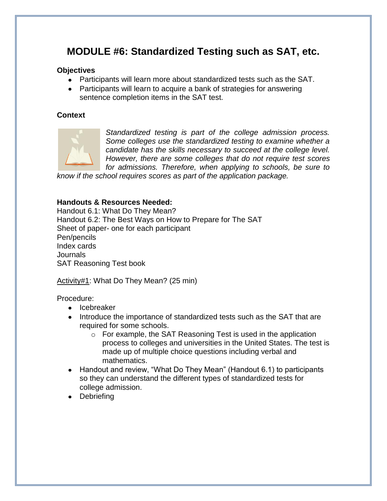# **MODULE #6: Standardized Testing such as SAT, etc.**

#### **Objectives**

- Participants will learn more about standardized tests such as the SAT.
- Participants will learn to acquire a bank of strategies for answering sentence completion items in the SAT test.

### **Context**



*Standardized testing is part of the college admission process. Some colleges use the standardized testing to examine whether a candidate has the skills necessary to succeed at the college level. However, there are some colleges that do not require test scores for admissions. Therefore, when applying to schools, be sure to* 

*know if the school requires scores as part of the application package.* 

#### **Handouts & Resources Needed:**

Handout 6.1: What Do They Mean? Handout 6.2: The Best Ways on How to Prepare for The SAT Sheet of paper- one for each participant Pen/pencils Index cards Journals SAT Reasoning Test book

Activity#1: What Do They Mean? (25 min)

Procedure:

- Icebreaker
- Introduce the importance of standardized tests such as the SAT that are required for some schools.
	- o For example, the SAT Reasoning Test is used in the application process to colleges and universities in the United States. The test is made up of multiple choice questions including verbal and mathematics.
- Handout and review, "What Do They Mean" (Handout 6.1) to participants so they can understand the different types of standardized tests for college admission.
- Debriefing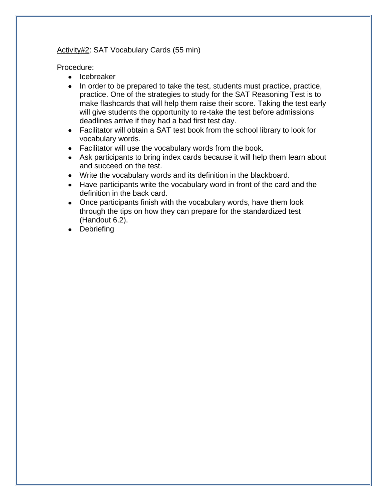#### Activity#2: SAT Vocabulary Cards (55 min)

Procedure:

- Icebreaker
- In order to be prepared to take the test, students must practice, practice, practice. One of the strategies to study for the SAT Reasoning Test is to make flashcards that will help them raise their score. Taking the test early will give students the opportunity to re-take the test before admissions deadlines arrive if they had a bad first test day.
- Facilitator will obtain a SAT test book from the school library to look for vocabulary words.
- Facilitator will use the vocabulary words from the book.
- Ask participants to bring index cards because it will help them learn about and succeed on the test.
- Write the vocabulary words and its definition in the blackboard.
- Have participants write the vocabulary word in front of the card and the definition in the back card.
- Once participants finish with the vocabulary words, have them look through the tips on how they can prepare for the standardized test (Handout 6.2).
- Debriefing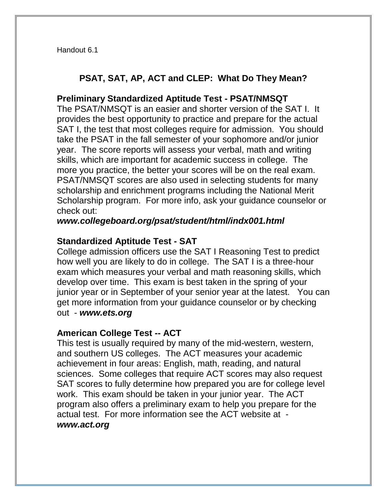Handout 6.1

### **PSAT, SAT, AP, ACT and CLEP: What Do They Mean?**

### **Preliminary Standardized Aptitude Test - PSAT/NMSQT**

The PSAT/NMSQT is an easier and shorter version of the SAT I. It provides the best opportunity to practice and prepare for the actual SAT I, the test that most colleges require for admission. You should take the PSAT in the fall semester of your sophomore and/or junior year. The score reports will assess your verbal, math and writing skills, which are important for academic success in college. The more you practice, the better your scores will be on the real exam. PSAT/NMSQT scores are also used in selecting students for many scholarship and enrichment programs including the National Merit Scholarship program. For more info, ask your guidance counselor or check out:

*www.collegeboard.org/psat/student/html/indx001.html*

### **Standardized Aptitude Test - SAT**

College admission officers use the SAT I Reasoning Test to predict how well you are likely to do in college. The SAT I is a three-hour exam which measures your verbal and math reasoning skills, which develop over time. This exam is best taken in the spring of your junior year or in September of your senior year at the latest. You can get more information from your guidance counselor or by checking out - *www.ets.org*

### **American College Test -- ACT**

This test is usually required by many of the mid-western, western, and southern US colleges. The ACT measures your academic achievement in four areas: English, math, reading, and natural sciences. Some colleges that require ACT scores may also request SAT scores to fully determine how prepared you are for college level work. This exam should be taken in your junior year. The ACT program also offers a preliminary exam to help you prepare for the actual test. For more information see the ACT website at *www.act.org*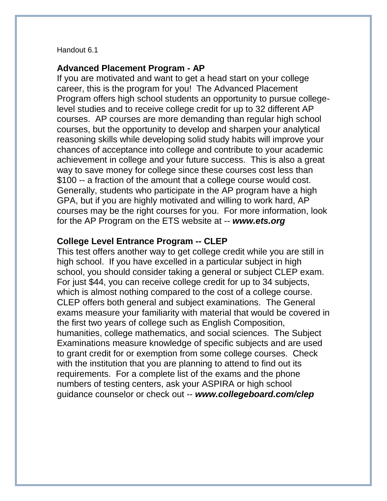#### Handout 6.1

#### **Advanced Placement Program - AP**

If you are motivated and want to get a head start on your college career, this is the program for you! The Advanced Placement Program offers high school students an opportunity to pursue collegelevel studies and to receive college credit for up to 32 different AP courses. AP courses are more demanding than regular high school courses, but the opportunity to develop and sharpen your analytical reasoning skills while developing solid study habits will improve your chances of acceptance into college and contribute to your academic achievement in college and your future success. This is also a great way to save money for college since these courses cost less than \$100 -- a fraction of the amount that a college course would cost. Generally, students who participate in the AP program have a high GPA, but if you are highly motivated and willing to work hard, AP courses may be the right courses for you. For more information, look for the AP Program on the ETS website at -- *www.ets.org* 

### **College Level Entrance Program -- CLEP**

This test offers another way to get college credit while you are still in high school. If you have excelled in a particular subject in high school, you should consider taking a general or subject CLEP exam. For just \$44, you can receive college credit for up to 34 subjects, which is almost nothing compared to the cost of a college course. CLEP offers both general and subject examinations. The General exams measure your familiarity with material that would be covered in the first two years of college such as English Composition, humanities, college mathematics, and social sciences. The Subject Examinations measure knowledge of specific subjects and are used to grant credit for or exemption from some college courses. Check with the institution that you are planning to attend to find out its requirements. For a complete list of the exams and the phone numbers of testing centers, ask your ASPIRA or high school guidance counselor or check out -- *www.collegeboard.com/clep*